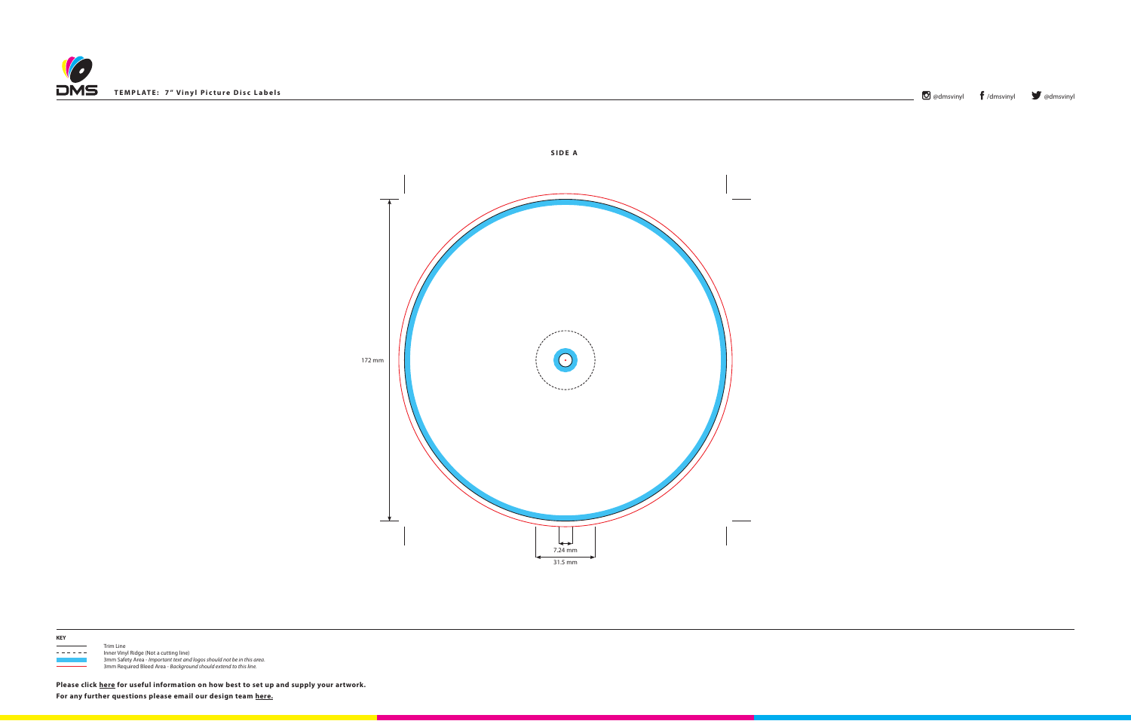



**KEY**

 $\frac{1}{1}$  Trim Line

- - - - - Inner Vinyl Ridge (Not a cutting line) 3mm Safety Area - *Important text and logos should not be in this area*. 3mm Required Bleed Area - *Background should extend to this line.*

**Please click [here](http://www.discmanufacturingservices.com/vinyl/templates#artwork-specifications) for useful information on how best to set up and supply your artwork. For any further questions please email our design team [here.](mailto:graphics%40discmanufacturingservices.com?subject=Template%20Enquiry)**